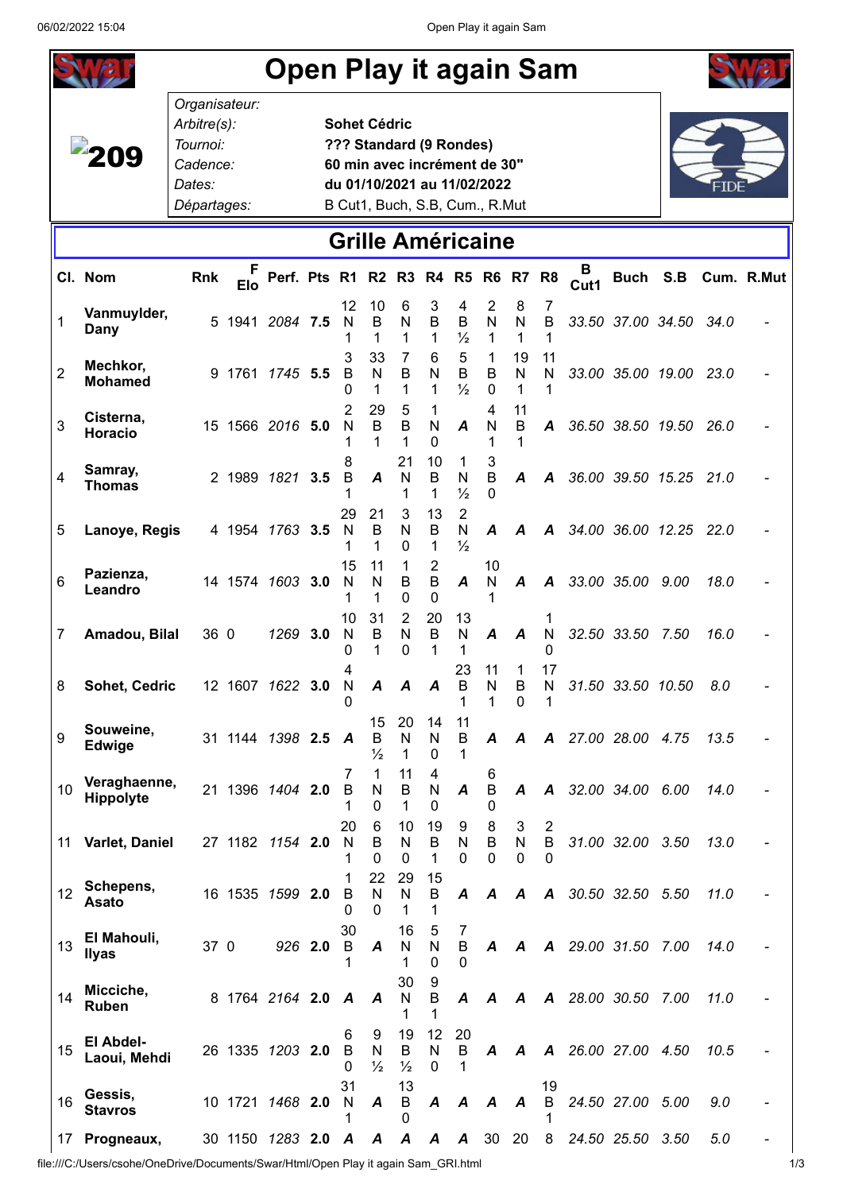| <b>Open Play it again Sam</b> |                             |                                                                               |                         |                    |         |                                 |                                                |                                                |                                                 |                                                 |                                                                                               |                            |                                        |           |                        |      |      |            |
|-------------------------------|-----------------------------|-------------------------------------------------------------------------------|-------------------------|--------------------|---------|---------------------------------|------------------------------------------------|------------------------------------------------|-------------------------------------------------|-------------------------------------------------|-----------------------------------------------------------------------------------------------|----------------------------|----------------------------------------|-----------|------------------------|------|------|------------|
|                               |                             | Organisateur:<br>Arbitre(s):<br>Tournoi:<br>Cadence:<br>Dates:<br>Départages: |                         |                    |         |                                 | <b>Sohet Cédric</b><br>??? Standard (9 Rondes) |                                                |                                                 |                                                 | 60 min avec incrément de 30"<br>du 01/10/2021 au 11/02/2022<br>B Cut1, Buch, S.B, Cum., R.Mut |                            |                                        |           |                        |      |      |            |
|                               |                             |                                                                               |                         |                    |         |                                 |                                                |                                                |                                                 |                                                 | <b>Grille Américaine</b>                                                                      |                            |                                        |           |                        |      |      |            |
|                               | Cl. Nom                     | Rnk                                                                           | <b>Elo</b>              | Perf. Pts R1 R2 R3 |         |                                 |                                                |                                                | <b>R4 R5</b>                                    |                                                 | R <sub>6</sub>                                                                                | R7                         | R <sub>8</sub>                         | в<br>Cut1 | Buch S.B               |      |      | Cum. R.Mut |
| 1                             | Vanmuylder,<br>Dany         |                                                                               | 5 1941 2084 7.5         |                    |         | 12<br>N<br>1                    | 10<br>B<br>1                                   | 6<br>N<br>1                                    | 3<br>B<br>1                                     | 4<br>B<br>$\frac{1}{2}$                         | 2<br>$\mathsf{N}$<br>1                                                                        | 8<br>N<br>1                | 7<br>B<br>1                            |           | 33.50 37.00 34.50      |      | 34.0 |            |
| $\overline{2}$                | Mechkor,<br><b>Mohamed</b>  |                                                                               | 9 1761 1745 5.5         |                    |         | 3<br>B<br>0                     | 33<br>$\mathsf{N}$<br>1                        | $\overline{7}$<br>$\mathsf B$<br>1             | 6<br>N<br>1                                     | 5<br>B<br>$\frac{1}{2}$                         | $\mathbf{1}$<br>B<br>$\mathbf{0}$                                                             | 19<br>$\mathsf{N}$<br>1    | 11<br>N<br>1                           |           | 33.00 35.00 19.00 23.0 |      |      |            |
| 3                             | Cisterna,<br>Horacio        |                                                                               | 15 1566 2016 5.0        |                    |         | 2<br>N                          | 29<br>B<br>1                                   | 5<br>$\overline{B}$<br>1                       | 1<br>N<br>0                                     | A                                               | 4<br>N<br>1                                                                                   | 11<br>B                    | A                                      |           | 36.50 38.50 19.50 26.0 |      |      |            |
| $\overline{4}$                | Samray,<br><b>Thomas</b>    |                                                                               | 2 1989 1821             |                    | 3.5     | 8<br>B                          | $\boldsymbol{A}$                               | 21<br>N<br>1                                   | 10<br>B<br>1                                    | 1<br>N<br>$\frac{1}{2}$                         | 3<br>B<br>0                                                                                   | A                          | A                                      |           | 36.00 39.50 15.25      |      | 21.0 |            |
| 5                             | Lanoye, Regis               |                                                                               | 4 1954 1763 3.5         |                    |         | 29<br>N<br>1                    | 21<br>B<br>1                                   | 3<br>N<br>$\mathbf{0}$                         | 13<br>B<br>1                                    | $\overline{2}$<br>$\mathsf{N}$<br>$\frac{1}{2}$ | A                                                                                             | A                          | A                                      |           | 34.00 36.00 12.25      |      | 22.0 |            |
| 6                             | Pazienza,<br>Leandro        |                                                                               | 14 1574 1603 3.0        |                    |         | 15<br>N                         | 11<br>N<br>1                                   | 1<br>$\mathsf B$<br>0                          | $\overline{2}$<br>$\overline{B}$<br>$\mathbf 0$ | A                                               | 10<br>N<br>1                                                                                  | A                          | A                                      |           | 33.00 35.00 9.00       |      | 18.0 |            |
| $\overline{7}$                | Amadou, Bilal               | 36 0                                                                          |                         | 1269 3.0           |         | 10<br>N<br>0                    | 31<br>B<br>1                                   | $\overline{2}$<br>$\mathsf{N}$<br>$\mathbf{0}$ | 20<br>B<br>1                                    | 13<br>N<br>1                                    | A                                                                                             | A                          | 1<br>N<br>$\mathbf{0}$                 |           | 32.50 33.50            | 7.50 | 16.0 |            |
| 8                             | Sohet, Cedric               |                                                                               | 12 1607 1622 <b>3.0</b> |                    |         | 4<br>N<br>0                     | A                                              | A                                              | A                                               | 23<br>В<br>1                                    | 11<br>N<br>1                                                                                  | 1<br>B<br>$\Omega$         | 17<br>N                                |           | 31.50 33.50 10.50      |      | 8.0  |            |
| 9                             | Souweine,<br>Edwige         |                                                                               | 31 1144 1398 2.5 A      |                    |         |                                 | 15<br>B<br>$\frac{1}{2}$                       | 20<br>N<br>1                                   | 14<br>N<br>$\Omega$                             | 11<br>B<br>1                                    | A                                                                                             | A                          |                                        |           | A 27.00 28.00 4.75     |      | 13.5 |            |
| 10                            | Veraghaenne,<br>Hippolyte   |                                                                               | 21 1396 1404 2.0        |                    |         | 7<br>B                          | 1<br>N<br>$\Omega$                             | 11<br>$\sf B$<br>1                             | 4<br>${\sf N}$<br>0                             | A                                               | 6<br>$\sf B$<br>0                                                                             | $\boldsymbol{A}$           | $\boldsymbol{A}$                       |           | 32.00 34.00 6.00       |      | 14.0 |            |
| 11                            | Varlet, Daniel              |                                                                               | 27 1182 1154 2.0        |                    |         | 20<br>N                         | 6<br>B<br>$\Omega$                             | 10<br>$\mathsf{N}$<br>$\mathbf 0$              | 19<br>$\mathsf B$<br>1                          | 9<br>N<br>0                                     | 8<br>B<br>$\Omega$                                                                            | 3<br>${\sf N}$<br>$\Omega$ | $\overline{2}$<br>$\sf{B}$<br>$\Omega$ |           | 31.00 32.00 3.50       |      | 13.0 |            |
| 12                            | Schepens,<br>Asato          |                                                                               | 16 1535 1599 2.0        |                    |         | B<br>0                          | 22<br>$\mathsf{N}$<br>$\Omega$                 | 29<br>N<br>1                                   | 15<br>B<br>1                                    | $\boldsymbol{A}$                                | A                                                                                             | A                          | A                                      |           | 30.50 32.50 5.50       |      | 11.0 |            |
| 13                            | El Mahouli,<br><b>Ilyas</b> | 37 0                                                                          |                         |                    | 926 2.0 | 30<br>$\mathsf B$<br>1          | A                                              | 16<br>N<br>1                                   | 5<br>N<br>$\Omega$                              | 7<br>$\sf B$<br>0                               | A                                                                                             | A                          | $\boldsymbol{A}$                       |           | 29.00 31.50            | 7.00 | 14.0 |            |
| 14                            | Micciche,<br>Ruben          |                                                                               | 8 1764 2164 2.0 A       |                    |         |                                 | A                                              | 30<br>N<br>1                                   | 9<br>$\mathsf B$<br>1                           | A                                               | A                                                                                             | A                          | $\boldsymbol{A}$                       |           | 28.00 30.50            | 7.00 | 11.0 |            |
| 15                            | El Abdel-<br>Laoui, Mehdi   |                                                                               | 26 1335 1203 2.0        |                    |         | 6<br>$\overline{B}$<br>$\Omega$ | 9<br>${\sf N}$<br>$\frac{1}{2}$                | 19<br>$\sf B$<br>$\frac{1}{2}$                 | 12<br>${\sf N}$<br>$\Omega$                     | 20<br>B                                         | A                                                                                             | $\boldsymbol{A}$           |                                        |           | A 26.00 27.00          | 4.50 | 10.5 |            |
| 16                            | Gessis,<br><b>Stavros</b>   |                                                                               | 10 1721 1468 2.0        |                    |         | 31<br>N                         | A                                              | 13<br>B<br>0                                   | A                                               | A                                               | A                                                                                             | $\boldsymbol{A}$           | 19<br>B                                |           | 24.50 27.00            | 5.00 | 9.0  |            |
| 17                            | Progneaux,                  |                                                                               | 30 1150 1283 2.0        |                    |         | A                               | A                                              | $\boldsymbol{A}$                               | A                                               | A                                               | 30                                                                                            | 20                         | 8                                      |           | 24.50 25.50            | 3.50 | 5.0  |            |

 $\begin{bmatrix} 1 & 1 & 1 & 0 & 0 \\ 0 & 0 & 0 & 0 \\ 0 & 0 & 0 & 0 \end{bmatrix}$  file:///C:/Users/csohe/OneDrive/Documents/Swar/Html/Open Play it again Sam\_GRI.html 10